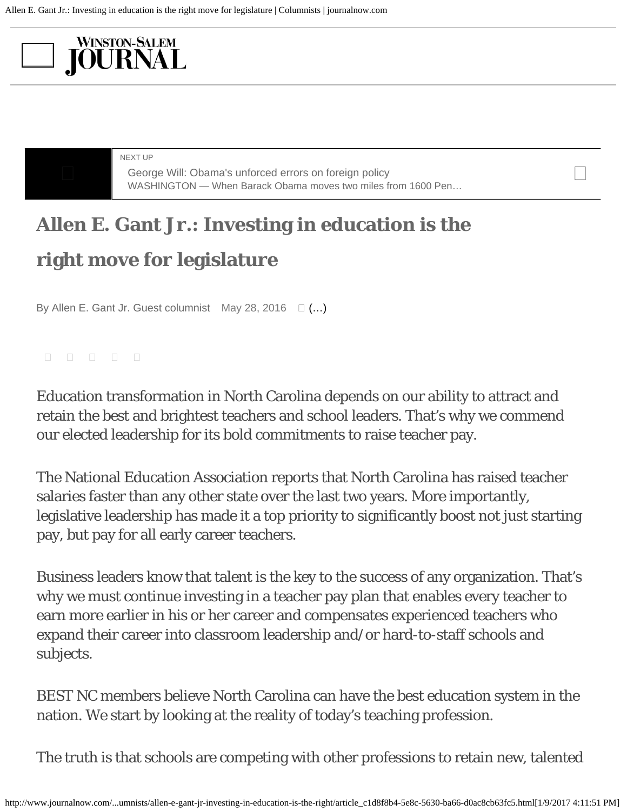## <span id="page-0-0"></span>**WINSTON-SALEM JOURNAL**

NEXT UP

George Will: Obama's unforced errors on foreign policy<br>
WASLINGTON What Barack Obama mayor two miles from 1600 Bar [WASHINGTON — When Barack Obama moves two miles from 1600 Pen…](http://www.journalnow.com/opinion/columnists/george-will-obama-s-unforced-errors-on-foreign-policy/article_91529b3e-be11-526d-9dee-a013e0dfa9f0.html)

## **Allen E. Gant Jr.: Investing in education is the right move for legislature**

By Allen E. Gant Jr. Guest columnist May 28, 2016  $\Box$  (...)

Education transformation in North Carolina depends on our ability to attract and retain the best and brightest teachers and school leaders. That's why we commend our elected leadership for its bold commitments to raise teacher pay.

The National Education Association reports that North Carolina has raised teacher salaries faster than any other state over the last two years. More importantly, legislative leadership has made it a top priority to significantly boost not just starting pay, but pay for all early career teachers.

Business leaders know that talent is the key to the success of any organization. That's why we must continue investing in a teacher pay plan that enables every teacher to earn more earlier in his or her career and compensates experienced teachers who expand their career into classroom leadership and/or hard-to-staff schools and subjects.

BEST NC members believe North Carolina can have the best education system in the nation. We start by looking at the reality of today's teaching profession.

The truth is that schools are competing with other professions to retain new, talented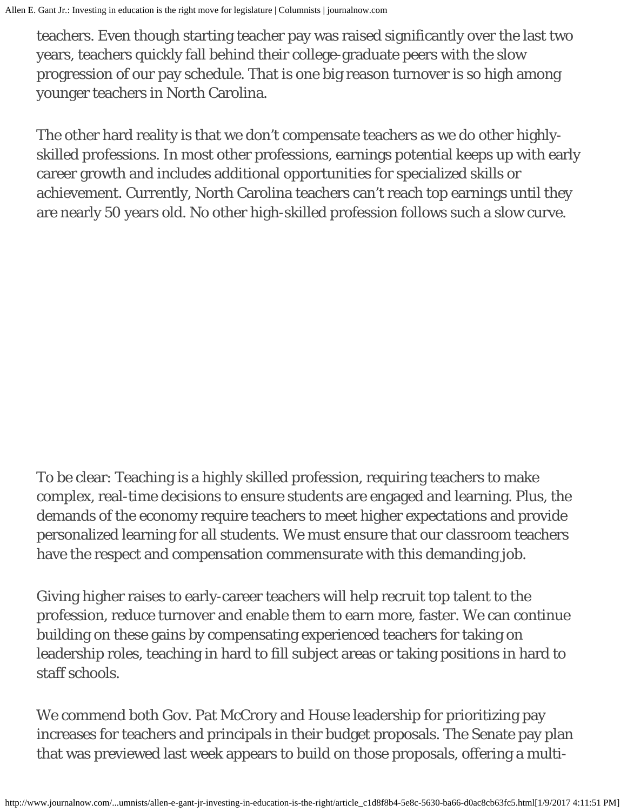teachers. Even though starting teacher pay was raised significantly over the last two years, teachers quickly fall behind their college-graduate peers with the slow progression of our pay schedule. That is one big reason turnover is so high among younger teachers in North Carolina.

The other hard reality is that we don't compensate teachers as we do other highlyskilled professions. In most other professions, earnings potential keeps up with early career growth and includes additional opportunities for specialized skills or achievement. Currently, North Carolina teachers can't reach top earnings until they are nearly 50 years old. No other high-skilled profession follows such a slow curve.

To be clear: Teaching is a highly skilled profession, requiring teachers to make complex, real-time decisions to ensure students are engaged and learning. Plus, the demands of the economy require teachers to meet higher expectations and provide personalized learning for all students. We must ensure that our classroom teachers have the respect and compensation commensurate with this demanding job.

Giving higher raises to early-career teachers will help recruit top talent to the profession, reduce turnover and enable them to earn more, faster. We can continue building on these gains by compensating experienced teachers for taking on leadership roles, teaching in hard to fill subject areas or taking positions in hard to staff schools.

We commend both Gov. Pat McCrory and House leadership for prioritizing pay increases for teachers and principals in their budget proposals. The Senate pay plan that was previewed last week appears to build on those proposals, offering a multi